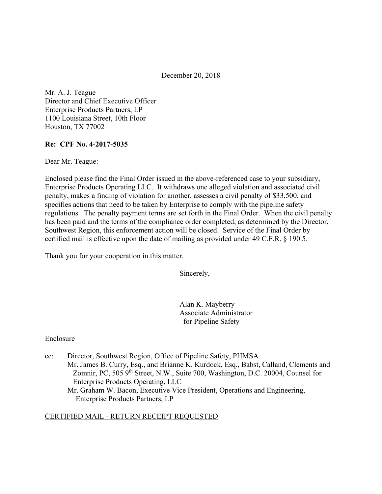December 20, 2018

Mr. A. J. Teague Director and Chief Executive Officer Enterprise Products Partners, LP 1100 Louisiana Street, 10th Floor Houston, TX 77002

#### **Re: CPF No. 4-2017-5035**

Dear Mr. Teague:

Enclosed please find the Final Order issued in the above-referenced case to your subsidiary, Enterprise Products Operating LLC. It withdraws one alleged violation and associated civil penalty, makes a finding of violation for another, assesses a civil penalty of \$33,500, and specifies actions that need to be taken by Enterprise to comply with the pipeline safety regulations. The penalty payment terms are set forth in the Final Order. When the civil penalty has been paid and the terms of the compliance order completed, as determined by the Director, Southwest Region, this enforcement action will be closed. Service of the Final Order by certified mail is effective upon the date of mailing as provided under 49 C.F.R. § 190.5.

Thank you for your cooperation in this matter.

Sincerely,

Alan K. Mayberry Associate Administrator for Pipeline Safety

Enclosure

cc: Director, Southwest Region, Office of Pipeline Safety, PHMSA Mr. James B. Curry, Esq., and Brianne K. Kurdock, Esq., Babst, Calland, Clements and Zomnir, PC, 505  $9<sup>th</sup>$  Street, N.W., Suite 700, Washington, D.C. 20004, Counsel for Enterprise Products Operating, LLC Mr. Graham W. Bacon, Executive Vice President, Operations and Engineering,

Enterprise Products Partners, LP

#### CERTIFIED MAIL - RETURN RECEIPT REQUESTED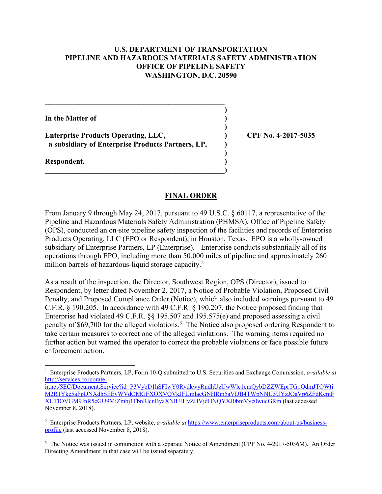### **U.S. DEPARTMENT OF TRANSPORTATION PIPELINE AND HAZARDOUS MATERIALS SAFETY ADMINISTRATION OFFICE OF PIPELINE SAFETY WASHINGTON, D.C. 20590**

 **)**

 **)**

 **)**

**In the Matter of )**

**Enterprise Products Operating, LLC, ) CPF No. 4-2017-5035 a subsidiary of Enterprise Products Partners, LP, )**

 $\mathcal{L} = \{ \mathcal{L} \}$ 

**\_\_\_\_\_\_\_\_\_\_\_\_\_\_\_\_\_\_\_\_\_\_\_\_\_\_\_\_\_\_\_\_\_\_\_\_\_\_\_\_\_\_\_\_\_\_\_\_)** 

**Respondent. )** 

### **FINAL ORDER**

million barrels of hazardous-liquid storage capacity.<sup>2</sup> From January 9 through May 24, 2017, pursuant to 49 U.S.C. § 60117, a representative of the Pipeline and Hazardous Materials Safety Administration (PHMSA), Office of Pipeline Safety (OPS), conducted an on-site pipeline safety inspection of the facilities and records of Enterprise Products Operating, LLC (EPO or Respondent), in Houston, Texas. EPO is a wholly-owned subsidiary of Enterprise Partners, LP (Enterprise).<sup>1</sup> Enterprise conducts substantially all of its operations through EPO, including more than 50,000 miles of pipeline and approximately 260

As a result of the inspection, the Director, Southwest Region, OPS (Director), issued to Respondent, by letter dated November 2, 2017, a Notice of Probable Violation, Proposed Civil Penalty, and Proposed Compliance Order (Notice), which also included warnings pursuant to 49 C.F.R. § 190.205. In accordance with 49 C.F.R. § 190.207, the Notice proposed finding that Enterprise had violated 49 C.F.R. §§ 195.507 and 195.575(e) and proposed assessing a civil penalty of \$69,700 for the alleged violations.<sup>3</sup> The Notice also proposed ordering Respondent to take certain measures to correct one of the alleged violations. The warning items required no further action but warned the operator to correct the probable violations or face possible future enforcement action.

 1 Enterprise Products Partners, LP, Form 10-Q submitted to U.S. Securities and Exchange Commission, *available at*  http://services.corporate-

ir.net/SEC/Document.Service?id=P3VybD1hSFIwY0RvdkwyRndhUzUwWlc1cmQybDZZWEprTG1OdmJTOWti M2R1Ykc5aFpDNXdhSEEvWVdOMGFXOXVQVkJFUmlacGNHRm5aVDB4TWpNNU5UYzJOaVp6ZFdKemF XUTlOVGM9JnR5cGU9MiZmbj1FbnRlcnByaXNlUHJvZHVjdHNQYXJ0bmVyc0wucGRm (last accessed November 8, 2018).

<sup>2</sup> Enterprise Products Partners, LP, website, *available at* https://www.enterpriseproducts.com/about-us/businessprofile (last accessed November 8, 2018).

<sup>&</sup>lt;sup>3</sup> The Notice was issued in conjunction with a separate Notice of Amendment (CPF No. 4-2017-5036M). An Order Directing Amendment in that case will be issued separately.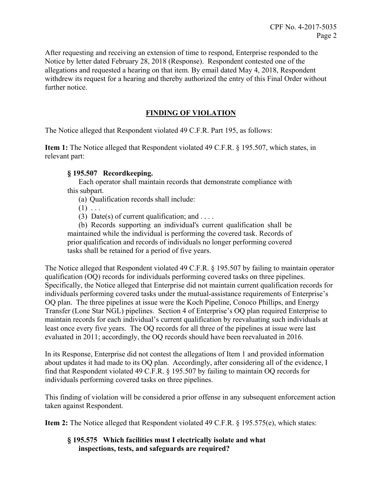After requesting and receiving an extension of time to respond, Enterprise responded to the Notice by letter dated February 28, 2018 (Response). Respondent contested one of the allegations and requested a hearing on that item. By email dated May 4, 2018, Respondent withdrew its request for a hearing and thereby authorized the entry of this Final Order without further notice.

## **FINDING OF VIOLATION**

The Notice alleged that Respondent violated 49 C.F.R. Part 195, as follows:

**Item 1:** The Notice alleged that Respondent violated 49 C.F.R. § 195.507, which states, in relevant part:

### **§ 195.507 Recordkeeping.**

Each operator shall maintain records that demonstrate compliance with this subpart.

(a) Qualification records shall include:

 $(1) \ldots$ 

(3) Date(s) of current qualification; and ....

(b) Records supporting an individual's current qualification shall be maintained while the individual is performing the covered task. Records of prior qualification and records of individuals no longer performing covered tasks shall be retained for a period of five years.

The Notice alleged that Respondent violated 49 C.F.R. § 195.507 by failing to maintain operator qualification (OQ) records for individuals performing covered tasks on three pipelines. Specifically, the Notice alleged that Enterprise did not maintain current qualification records for individuals performing covered tasks under the mutual-assistance requirements of Enterprise's OQ plan. The three pipelines at issue were the Koch Pipeline, Conoco Phillips, and Energy Transfer (Lone Star NGL) pipelines. Section 4 of Enterprise's OQ plan required Enterprise to maintain records for each individual's current qualification by reevaluating such individuals at least once every five years. The OQ records for all three of the pipelines at issue were last evaluated in 2011; accordingly, the OQ records should have been reevaluated in 2016.

In its Response, Enterprise did not contest the allegations of Item 1 and provided information about updates it had made to its OQ plan. Accordingly, after considering all of the evidence, I find that Respondent violated 49 C.F.R. § 195.507 by failing to maintain OQ records for individuals performing covered tasks on three pipelines.

This finding of violation will be considered a prior offense in any subsequent enforcement action taken against Respondent.

**Item 2:** The Notice alleged that Respondent violated 49 C.F.R. § 195.575(e), which states:

### **§ 195.575 Which facilities must I electrically isolate and what inspections, tests, and safeguards are required?**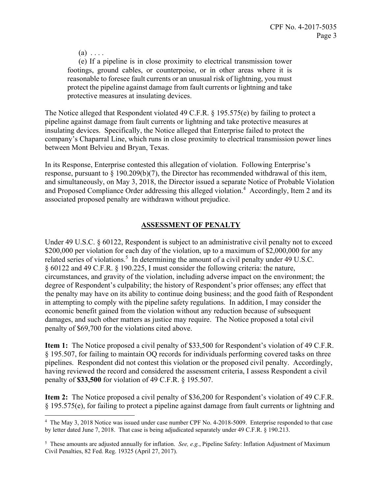$(a) \ldots$ 

<u>.</u>

 (e) If a pipeline is in close proximity to electrical transmission tower footings, ground cables, or counterpoise, or in other areas where it is reasonable to foresee fault currents or an unusual risk of lightning, you must protect the pipeline against damage from fault currents or lightning and take protective measures at insulating devices.

The Notice alleged that Respondent violated 49 C.F.R. § 195.575(e) by failing to protect a pipeline against damage from fault currents or lightning and take protective measures at insulating devices. Specifically, the Notice alleged that Enterprise failed to protect the company's Chaparral Line, which runs in close proximity to electrical transmission power lines between Mont Belvieu and Bryan, Texas.

In its Response, Enterprise contested this allegation of violation. Following Enterprise's response, pursuant to  $\S 190.209(b)(7)$ , the Director has recommended withdrawal of this item, and simultaneously, on May 3, 2018, the Director issued a separate Notice of Probable Violation and Proposed Compliance Order addressing this alleged violation.<sup>4</sup> Accordingly, Item 2 and its associated proposed penalty are withdrawn without prejudice.

### **ASSESSMENT OF PENALTY**

Under 49 U.S.C. § 60122, Respondent is subject to an administrative civil penalty not to exceed \$200,000 per violation for each day of the violation, up to a maximum of \$2,000,000 for any related series of violations.<sup>5</sup> In determining the amount of a civil penalty under 49 U.S.C. § 60122 and 49 C.F.R. § 190.225, I must consider the following criteria: the nature, circumstances, and gravity of the violation, including adverse impact on the environment; the degree of Respondent's culpability; the history of Respondent's prior offenses; any effect that the penalty may have on its ability to continue doing business; and the good faith of Respondent in attempting to comply with the pipeline safety regulations. In addition, I may consider the economic benefit gained from the violation without any reduction because of subsequent damages, and such other matters as justice may require. The Notice proposed a total civil penalty of \$69,700 for the violations cited above.

**Item 1:** The Notice proposed a civil penalty of \$33,500 for Respondent's violation of 49 C.F.R. § 195.507, for failing to maintain OQ records for individuals performing covered tasks on three pipelines. Respondent did not contest this violation or the proposed civil penalty. Accordingly, having reviewed the record and considered the assessment criteria, I assess Respondent a civil penalty of **\$33,500** for violation of 49 C.F.R. § 195.507.

**Item 2:** The Notice proposed a civil penalty of \$36,200 for Respondent's violation of 49 C.F.R. § 195.575(e), for failing to protect a pipeline against damage from fault currents or lightning and

 by letter dated June 7, 2018. That case is being adjudicated separately under 49 C.F.R. § 190.213. <sup>4</sup> The May 3, 2018 Notice was issued under case number CPF No. 4-2018-5009. Enterprise responded to that case

<sup>&</sup>lt;sup>5</sup> These amounts are adjusted annually for inflation. *See, e.g.*, Pipeline Safety: Inflation Adjustment of Maximum Civil Penalties, 82 Fed. Reg. 19325 (April 27, 2017).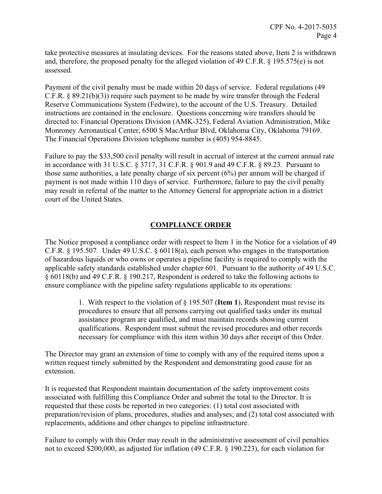take protective measures at insulating devices. For the reasons stated above, Item 2 is withdrawn and, therefore, the proposed penalty for the alleged violation of 49 C.F.R. § 195.575(e) is not assessed.

Payment of the civil penalty must be made within 20 days of service. Federal regulations (49 C.F.R. § 89.21(b)(3)) require such payment to be made by wire transfer through the Federal Reserve Communications System (Fedwire), to the account of the U.S. Treasury. Detailed instructions are contained in the enclosure. Questions concerning wire transfers should be directed to: Financial Operations Division (AMK-325), Federal Aviation Administration, Mike Monroney Aeronautical Center, 6500 S MacArthur Blvd, Oklahoma City, Oklahoma 79169. The Financial Operations Division telephone number is (405) 954-8845.

Failure to pay the \$33,500 civil penalty will result in accrual of interest at the current annual rate in accordance with 31 U.S.C. § 3717, 31 C.F.R. § 901.9 and 49 C.F.R. § 89.23. Pursuant to those same authorities, a late penalty charge of six percent (6%) per annum will be charged if payment is not made within 110 days of service. Furthermore, failure to pay the civil penalty may result in referral of the matter to the Attorney General for appropriate action in a district court of the United States.

## **COMPLIANCE ORDER**

The Notice proposed a compliance order with respect to Item 1 in the Notice for a violation of 49 C.F.R. § 195.507. Under 49 U.S.C. § 60118(a), each person who engages in the transportation of hazardous liquids or who owns or operates a pipeline facility is required to comply with the applicable safety standards established under chapter 601. Pursuant to the authority of 49 U.S.C. § 60118(b) and 49 C.F.R. § 190.217, Respondent is ordered to take the following actions to ensure compliance with the pipeline safety regulations applicable to its operations:

> 1. With respect to the violation of § 195.507 (**Item 1**), Respondent must revise its procedures to ensure that all persons carrying out qualified tasks under its mutual assistance program are qualified, and must maintain records showing current qualifications. Respondent must submit the revised procedures and other records necessary for compliance with this item within 30 days after receipt of this Order.

The Director may grant an extension of time to comply with any of the required items upon a written request timely submitted by the Respondent and demonstrating good cause for an extension.

It is requested that Respondent maintain documentation of the safety improvement costs associated with fulfilling this Compliance Order and submit the total to the Director. It is requested that these costs be reported in two categories: (1) total cost associated with preparation/revision of plans, procedures, studies and analyses; and (2) total cost associated with replacements, additions and other changes to pipeline infrastructure.

Failure to comply with this Order may result in the administrative assessment of civil penalties not to exceed \$200,000, as adjusted for inflation (49 C.F.R. § 190.223), for each violation for